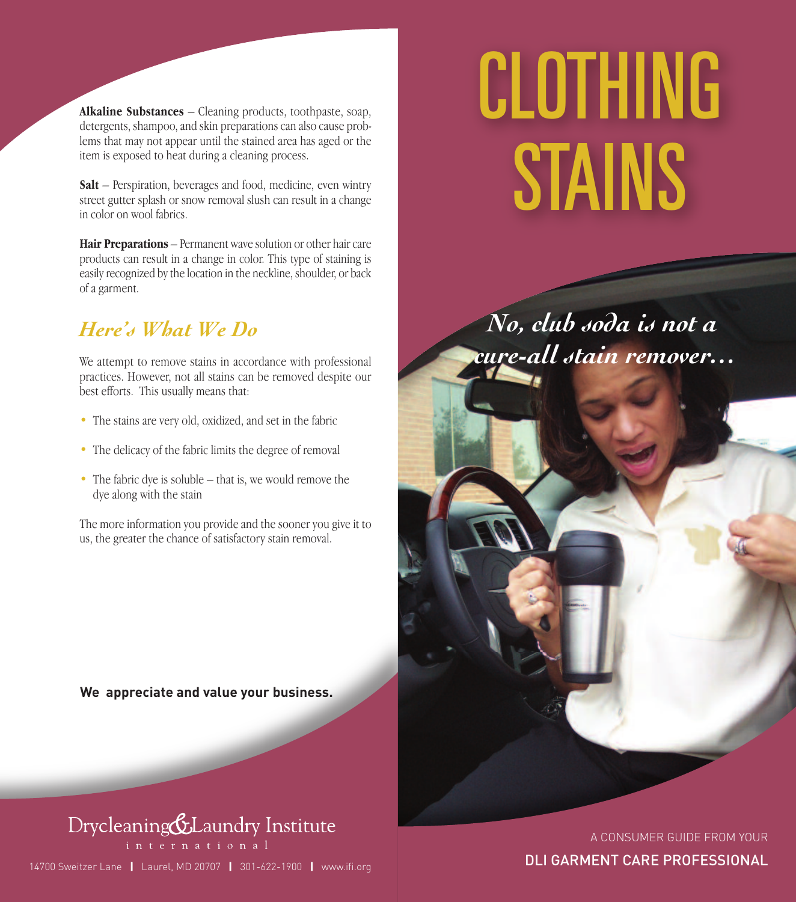**Alkaline Substances** – Cleaning products, toothpaste, soap, detergents, shampoo, and skin preparations can also cause problems that may not appear until the stained area has aged or the item is exposed to heat during a cleaning process.

**Salt** – Perspiration, beverages and food, medicine, even wintry street gutter splash or snow removal slush can result in a change in color on wool fabrics.

**Hair Preparations** – Permanent wave solution or other hair care products can result in a change in color. This type of staining is easily recognized by the location in the neckline, shoulder, or back of a garment.

#### *Here's What We Do*

We attempt to remove stains in accordance with professional practices. However, not all stains can be removed despite our best efforts. This usually means that:

- The stains are very old, oxidized, and set in the fabric
- The delicacy of the fabric limits the degree of removal
- The fabric dye is soluble that is, we would remove the dye along with the stain

The more information you provide and the sooner you give it to us, the greater the chance of satisfactory stain removal.

**We appreciate and value your business.**

## Drycleaning&Laundry Institute

14700 Sweitzer Lane **|** Laurel, MD 20707 **|** 301-622-1900 **|** www.ifi.org

# *CLOTHING STAINS*

*No, club soda is not a cure-all stain remover…*

> A CONSUMER GUIDE FROM YOUR DLI GARMENT CARE PROFESSIONAL